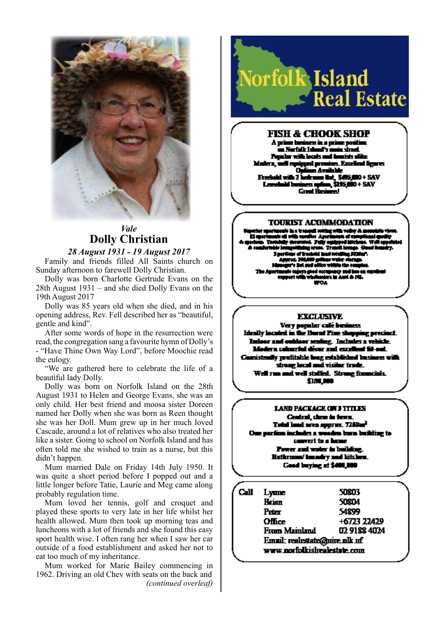

## *Vale* **Dolly Christian**

### *28 August 1931 - 19 August 2017*

Family and friends filled All Saints church on Sunday afternoon to farewell Dolly Christian.

Dolly was born Charlotte Gertrude Evans on the 28th August 1931 – and she died Dolly Evans on the 19th August 2017

Dolly was 85 years old when she died, and in his opening address, Rev. Fell described her as "beautiful, gentle and kind".

After some words of hope in the resurrection were read, the congregation sang a favourite hymn of Dolly's - "Have Thine Own Way Lord", before Moochie read the eulogy.

"We are gathered here to celebrate the life of a beautiful lady Dolly.

Dolly was born on Norfolk Island on the 28th August 1931 to Helen and George Evans, she was an only child. Her best friend and moosa sister Doreen named her Dolly when she was born as Reen thought she was her Doll. Mum grew up in her much loved Cascade, around a lot of relatives who also treated her like a sister. Going to school on Norfolk Island and has often told me she wished to train as a nurse, but this didn't happen.

Mum married Dale on Friday 14th July 1950. It was quite a short period before I popped out and a little longer before Tatie, Laurie and Meg came along probably regulation time.

Mum loved her tennis, golf and croquet and played these sports to very late in her life whilst her health allowed. Mum then took up morning teas and luncheons with a lot of friends and she found this easy sport health wise. I often rang her when I saw her car outside of a food establishment and asked her not to eat too much of my inheritance.

Mum worked for Marie Bailey commencing in 1962. Driving an old Chev with seats on the back and *(continued overleaf)*



## FISH & CHOOK SHOP

e ber en in a prime positi i Karfall: Tak Λ. ı simali väh looks mai t قد دادنی ed ar un Kuol æм n Am rikat, \$495,000+ SAV . 561 -31

#### **TOURIST ACOMMODATION**

#### **EXCLUSIVE**

Verv nombr calé h er, Indudes a re Modern colourful décar and excellent fit-out. Consistently profitable long established business with strong local and visitor trade. Well run and well staffed. Strong financials, \$150,000

#### **LAND PACKAGE ON 3 TTH JS** Central, close in term.

d area appres. 7268<del>ar</del><sup>3</sup> includes a wooden barn building to convert to a bone Fower and water in building. **Britmone/Insurary and kitchen.** Good buying at \$400,000

Call Lyme 50803 **Hrisn** 50804 Peter 54899 Office: +6723 22429 From Mainland 02 9188 4024 Email: realestate@mire.nlk.nf www.norfolkishealestate.com